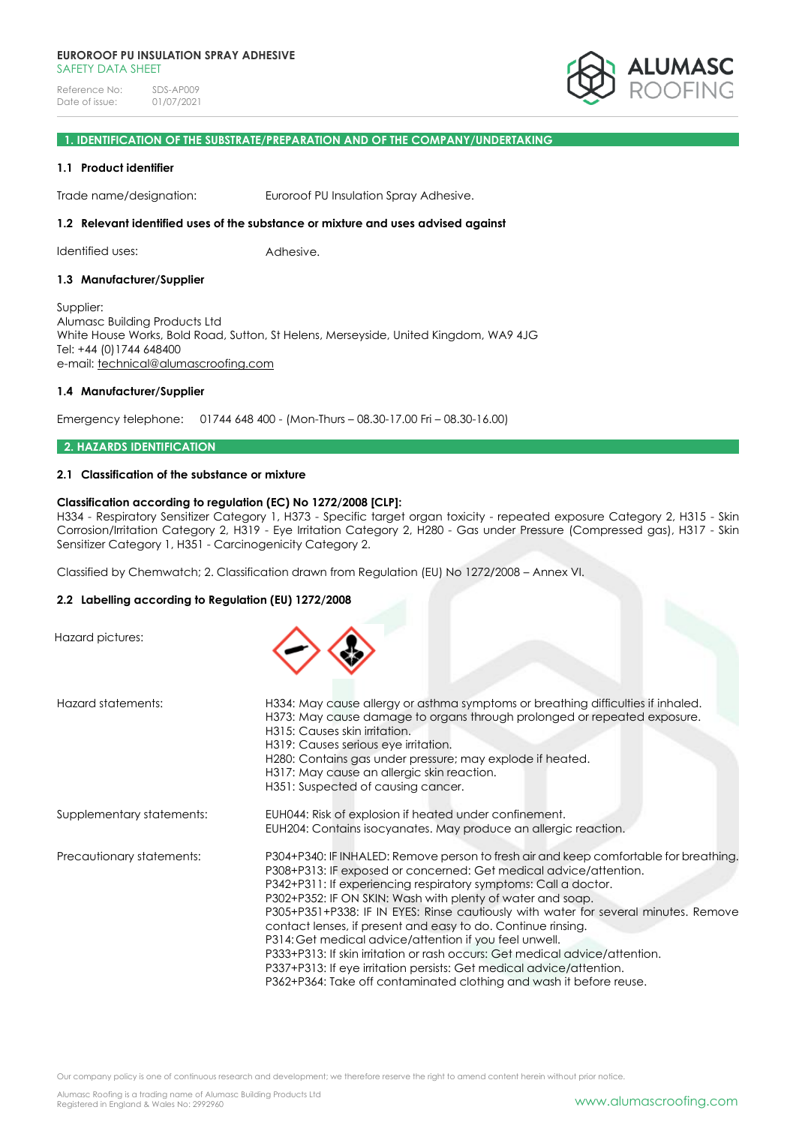

## **1. IDENTIFICATION OF THE SUBSTRATE/PREPARATION AND OF THE COMPANY/UNDERTAKING**

#### **1.1 Product identifier**

Trade name/designation: Euroroof PU Insulation Spray Adhesive.

### **1.2 Relevant identified uses of the substance or mixture and uses advised against**

Identified uses: Adhesive.

#### **1.3 Manufacturer/Supplier**

Supplier: Alumasc Building Products Ltd White House Works, Bold Road, Sutton, St Helens, Merseyside, United Kingdom, WA9 4JG Tel: +44 (0)1744 648400 e-mail: [technical@alumascroofing.com](mailto:technical@alumascroofing.com)

#### **1.4 Manufacturer/Supplier**

Emergency telephone: 01744 648 400 - (Mon-Thurs – 08.30-17.00 Fri – 08.30-16.00)

#### **2. HAZARDS IDENTIFICATION**

## **2.1 Classification of the substance or mixture**

## **Classification according to regulation (EC) No 1272/2008 [CLP]:**

H334 - Respiratory Sensitizer Category 1, H373 - Specific target organ toxicity - repeated exposure Category 2, H315 - Skin Corrosion/Irritation Category 2, H319 - Eye Irritation Category 2, H280 - Gas under Pressure (Compressed gas), H317 - Skin Sensitizer Category 1, H351 - Carcinogenicity Category 2.

Classified by Chemwatch; 2. Classification drawn from Regulation (EU) No 1272/2008 – Annex VI.

### **2.2 Labelling according to Regulation (EU) 1272/2008**

Hazard pictures:



| Hazard statements:        | H334: May cause allergy or asthma symptoms or breathing difficulties if inhaled.<br>H373: May cause damage to organs through prolonged or repeated exposure.<br>H315: Causes skin irritation.<br>H319: Causes serious eye irritation.<br>H280: Contains gas under pressure; may explode if heated.<br>H317: May cause an allergic skin reaction.<br>H351: Suspected of causing cancer.                                                                                                                                                                                                                                                                                                                                                     |
|---------------------------|--------------------------------------------------------------------------------------------------------------------------------------------------------------------------------------------------------------------------------------------------------------------------------------------------------------------------------------------------------------------------------------------------------------------------------------------------------------------------------------------------------------------------------------------------------------------------------------------------------------------------------------------------------------------------------------------------------------------------------------------|
| Supplementary statements: | EUH044: Risk of explosion if heated under confinement.<br>EUH204: Contains isocyanates. May produce an allergic reaction.                                                                                                                                                                                                                                                                                                                                                                                                                                                                                                                                                                                                                  |
| Precautionary statements: | P304+P340: IF INHALED: Remove person to fresh air and keep comfortable for breathing.<br>P308+P313: IF exposed or concerned: Get medical advice/attention.<br>P342+P311: If experiencing respiratory symptoms: Call a doctor.<br>P302+P352: IF ON SKIN: Wash with plenty of water and soap.<br>P305+P351+P338: IF IN EYES: Rinse cautiously with water for several minutes. Remove<br>contact lenses, if present and easy to do. Continue rinsing.<br>P314: Get medical advice/attention if you feel unwell.<br>P333+P313: If skin irritation or rash occurs: Get medical advice/attention.<br>P337+P313: If eye irritation persists: Get medical advice/attention.<br>P362+P364: Take off contaminated clothing and wash it before reuse. |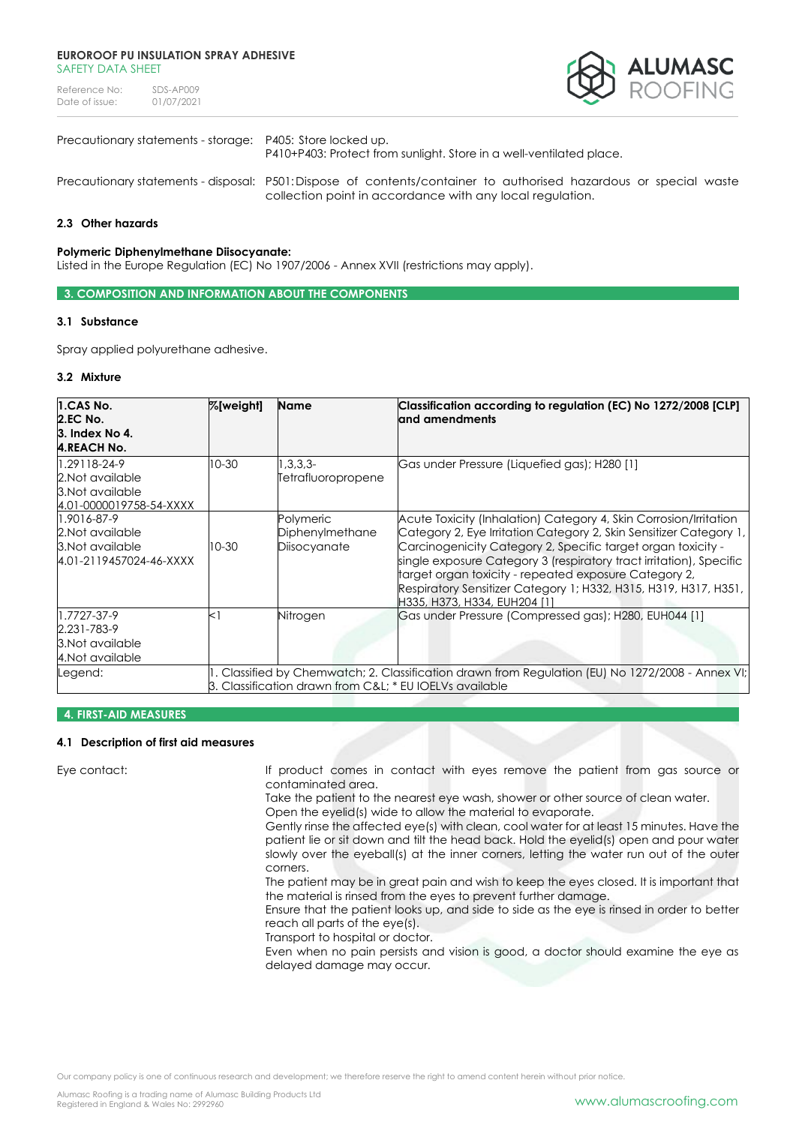Reference No: SDS-AP009<br>Date of issue: 01/07/2021 Date of issue:



## Precautionary statements - storage: P405: Store locked up.

P410+P403: Protect from sunlight. Store in a well-ventilated place.

Precautionary statements - disposal: P501:Dispose of contents/container to authorised hazardous or special waste collection point in accordance with any local regulation.

## **2.3 Other hazards**

### **Polymeric Diphenylmethane Diisocyanate:**

Listed in the Europe Regulation (EC) No 1907/2006 - Annex XVII (restrictions may apply).

**3. COMPOSITION AND INFORMATION ABOUT THE COMPONENTS**

#### **3.1 Substance**

Spray applied polyurethane adhesive.

#### **3.2 Mixture**

| 1.CAS No.<br><b>2.EC No.</b><br>3. Index No 4.<br><b>4.REACH No.</b>            | %[weight] | <b>Name</b>                                            | Classification according to regulation (EC) No 1272/2008 [CLP]<br>land amendments                                                                                                                                                                                                                                                                                                                                                             |
|---------------------------------------------------------------------------------|-----------|--------------------------------------------------------|-----------------------------------------------------------------------------------------------------------------------------------------------------------------------------------------------------------------------------------------------------------------------------------------------------------------------------------------------------------------------------------------------------------------------------------------------|
| 1.29118-24-9<br>2. Not available<br>3. Not available<br>4.01-0000019758-54-XXXX | $10-30$   | $1,3,3,3-$<br>Tetrafluoropropene                       | Gas under Pressure (Liquefied gas); H280 [1]                                                                                                                                                                                                                                                                                                                                                                                                  |
| 1.9016-87-9<br>2. Not available<br>3. Not available<br>4.01-2119457024-46-XXXX  | 10-30     | Polymeric<br>Diphenylmethane<br>Diisocyanate           | Acute Toxicity (Inhalation) Category 4, Skin Corrosion/Irritation<br>Category 2, Eye Irritation Category 2, Skin Sensitizer Category 1,<br>Carcinogenicity Category 2, Specific target organ toxicity -<br>single exposure Category 3 (respiratory tract irritation), Specific<br>target organ toxicity - repeated exposure Category 2,<br>  Respiratory Sensitizer Category 1; H332, H315, H319, H317, H351,<br>H335, H373, H334, EUH204 [1] |
| 1.7727-37-9<br>2.231-783-9<br>3. Not available<br>4. Not available              | $<$ 1     | Nitrogen                                               | Gas under Pressure (Compressed gas); H280, EUH044 [1]                                                                                                                                                                                                                                                                                                                                                                                         |
| Legend:                                                                         |           | 3. Classification drawn from C&L * EU IOELVs available | . Classified by Chemwatch; 2. Classification drawn from Regulation (EU) No 1272/2008 - Annex VI;                                                                                                                                                                                                                                                                                                                                              |

#### **4. FIRST-AID MEASURES**

### **4.1 Description of first aid measures**

Eye contact: If product comes in contact with eyes remove the patient from gas source or contaminated area.

Take the patient to the nearest eye wash, shower or other source of clean water. Open the eyelid(s) wide to allow the material to evaporate.

Gently rinse the affected eye(s) with clean, cool water for at least 15 minutes. Have the

patient lie or sit down and tilt the head back. Hold the eyelid(s) open and pour water slowly over the eyeball(s) at the inner corners, letting the water run out of the outer corners.

The patient may be in great pain and wish to keep the eyes closed. It is important that the material is rinsed from the eyes to prevent further damage.

Ensure that the patient looks up, and side to side as the eye is rinsed in order to better reach all parts of the eye(s).

Transport to hospital or doctor.

Even when no pain persists and vision is good, a doctor should examine the eye as delayed damage may occur.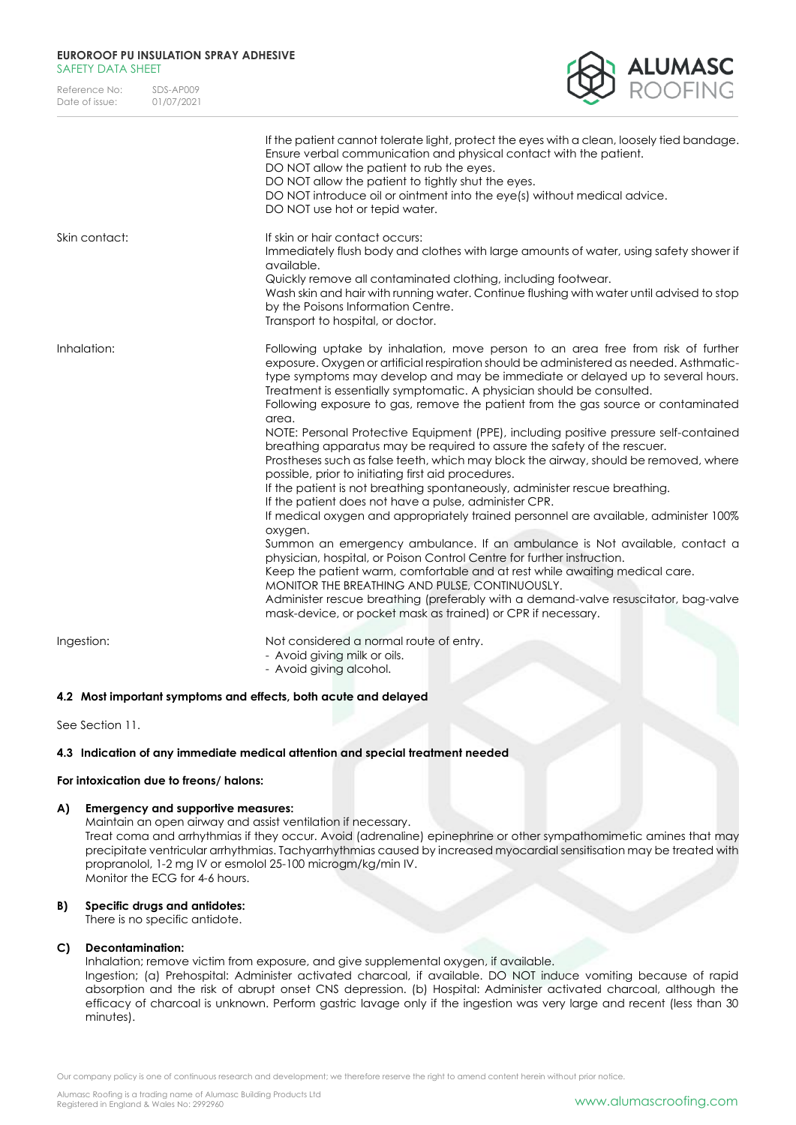| Reference No:  | SDS-AP009  |
|----------------|------------|
| Date of issue: | 01/07/2021 |



|               | If the patient cannot tolerate light, protect the eyes with a clean, loosely tied bandage.<br>Ensure verbal communication and physical contact with the patient.<br>DO NOT allow the patient to rub the eyes.<br>DO NOT allow the patient to tightly shut the eyes.<br>DO NOT introduce oil or ointment into the eye(s) without medical advice.<br>DO NOT use hot or tepid water.                                                                                                                                                                                                                                                                                                                                                                                                                                                                                                                                                                                                                                                                                                                                                                                                                                                                                                                                                                                                                                                                    |
|---------------|------------------------------------------------------------------------------------------------------------------------------------------------------------------------------------------------------------------------------------------------------------------------------------------------------------------------------------------------------------------------------------------------------------------------------------------------------------------------------------------------------------------------------------------------------------------------------------------------------------------------------------------------------------------------------------------------------------------------------------------------------------------------------------------------------------------------------------------------------------------------------------------------------------------------------------------------------------------------------------------------------------------------------------------------------------------------------------------------------------------------------------------------------------------------------------------------------------------------------------------------------------------------------------------------------------------------------------------------------------------------------------------------------------------------------------------------------|
| Skin contact: | If skin or hair contact occurs:<br>Immediately flush body and clothes with large amounts of water, using safety shower if<br>available.<br>Quickly remove all contaminated clothing, including footwear.<br>Wash skin and hair with running water. Continue flushing with water until advised to stop<br>by the Poisons Information Centre.<br>Transport to hospital, or doctor.                                                                                                                                                                                                                                                                                                                                                                                                                                                                                                                                                                                                                                                                                                                                                                                                                                                                                                                                                                                                                                                                     |
| Inhalation:   | Following uptake by inhalation, move person to an area free from risk of further<br>exposure. Oxygen or artificial respiration should be administered as needed. Asthmatic-<br>type symptoms may develop and may be immediate or delayed up to several hours.<br>Treatment is essentially symptomatic. A physician should be consulted.<br>Following exposure to gas, remove the patient from the gas source or contaminated<br>area.<br>NOTE: Personal Protective Equipment (PPE), including positive pressure self-contained<br>breathing apparatus may be required to assure the safety of the rescuer.<br>Prostheses such as false teeth, which may block the airway, should be removed, where<br>possible, prior to initiating first aid procedures.<br>If the patient is not breathing spontaneously, administer rescue breathing.<br>If the patient does not have a pulse, administer CPR.<br>If medical oxygen and appropriately trained personnel are available, administer 100%<br>oxygen.<br>Summon an emergency ambulance. If an ambulance is Not available, contact a<br>physician, hospital, or Poison Control Centre for further instruction.<br>Keep the patient warm, comfortable and at rest while awaiting medical care.<br>MONITOR THE BREATHING AND PULSE, CONTINUOUSLY.<br>Administer rescue breathing (preferably with a demand-valve resuscitator, bag-valve<br>mask-device, or pocket mask as trained) or CPR if necessary. |
| Ingestion:    | Not considered a normal route of entry.<br>- Avoid giving milk or oils.<br>- Avoid giving alcohol.                                                                                                                                                                                                                                                                                                                                                                                                                                                                                                                                                                                                                                                                                                                                                                                                                                                                                                                                                                                                                                                                                                                                                                                                                                                                                                                                                   |

### **4.2 Most important symptoms and effects, both acute and delayed**

See Section 11.

### **4.3 Indication of any immediate medical attention and special treatment needed**

## **For intoxication due to freons/ halons:**

### **A) Emergency and supportive measures:**

Maintain an open airway and assist ventilation if necessary. Treat coma and arrhythmias if they occur. Avoid (adrenaline) epinephrine or other sympathomimetic amines that may precipitate ventricular arrhythmias. Tachyarrhythmias caused by increased myocardial sensitisation may be treated with propranolol, 1-2 mg IV or esmolol 25-100 microgm/kg/min IV. Monitor the ECG for 4-6 hours.

### **B) Specific drugs and antidotes:**

There is no specific antidote.

## **C) Decontamination:**

Inhalation; remove victim from exposure, and give supplemental oxygen, if available.

Ingestion; (a) Prehospital: Administer activated charcoal, if available. DO NOT induce vomiting because of rapid absorption and the risk of abrupt onset CNS depression. (b) Hospital: Administer activated charcoal, although the efficacy of charcoal is unknown. Perform gastric lavage only if the ingestion was very large and recent (less than 30 minutes).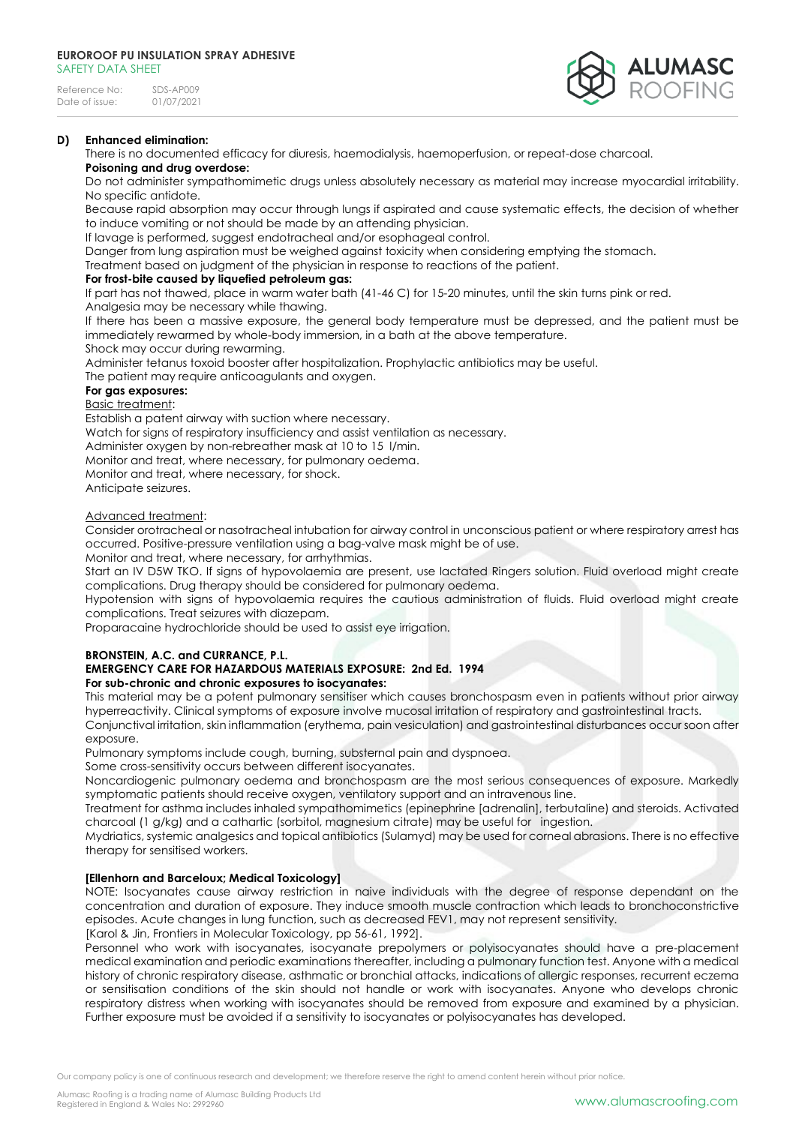

## **D) Enhanced elimination:**

There is no documented efficacy for diuresis, haemodialysis, haemoperfusion, or repeat-dose charcoal.

# **Poisoning and drug overdose:**

Do not administer sympathomimetic drugs unless absolutely necessary as material may increase myocardial irritability. No specific antidote.

Because rapid absorption may occur through lungs if aspirated and cause systematic effects, the decision of whether to induce vomiting or not should be made by an attending physician.

If lavage is performed, suggest endotracheal and/or esophageal control.

Danger from lung aspiration must be weighed against toxicity when considering emptying the stomach.

Treatment based on judgment of the physician in response to reactions of the patient.

## **For frost-bite caused by liquefied petroleum gas:**

If part has not thawed, place in warm water bath (41-46 C) for 15-20 minutes, until the skin turns pink or red.

Analgesia may be necessary while thawing.

If there has been a massive exposure, the general body temperature must be depressed, and the patient must be immediately rewarmed by whole-body immersion, in a bath at the above temperature.

Shock may occur during rewarming.

Administer tetanus toxoid booster after hospitalization. Prophylactic antibiotics may be useful.

The patient may require anticoagulants and oxygen.

# **For gas exposures:**

Basic treatment:

Establish a patent airway with suction where necessary.

Watch for signs of respiratory insufficiency and assist ventilation as necessary.

Administer oxygen by non-rebreather mask at 10 to 15 l/min.

Monitor and treat, where necessary, for pulmonary oedema.

Monitor and treat, where necessary, for shock.

Anticipate seizures.

## Advanced treatment:

Consider orotracheal or nasotracheal intubation for airway control in unconscious patient or where respiratory arrest has occurred. Positive-pressure ventilation using a bag-valve mask might be of use.

Monitor and treat, where necessary, for arrhythmias.

Start an IV D5W TKO. If signs of hypovolaemia are present, use lactated Ringers solution. Fluid overload might create complications. Drug therapy should be considered for pulmonary oedema.

Hypotension with signs of hypovolaemia requires the cautious administration of fluids. Fluid overload might create complications. Treat seizures with diazepam.

Proparacaine hydrochloride should be used to assist eye irrigation.

## **BRONSTEIN, A.C. and CURRANCE, P.L.**

### **EMERGENCY CARE FOR HAZARDOUS MATERIALS EXPOSURE: 2nd Ed. 1994 For sub-chronic and chronic exposures to isocyanates:**

This material may be a potent pulmonary sensitiser which causes bronchospasm even in patients without prior airway hyperreactivity. Clinical symptoms of exposure involve mucosal irritation of respiratory and gastrointestinal tracts.

Conjunctival irritation, skin inflammation (erythema, pain vesiculation) and gastrointestinal disturbances occur soon after exposure.

Pulmonary symptoms include cough, burning, substernal pain and dyspnoea.

Some cross-sensitivity occurs between different isocyanates.

Noncardiogenic pulmonary oedema and bronchospasm are the most serious consequences of exposure. Markedly symptomatic patients should receive oxygen, ventilatory support and an intravenous line.

Treatment for asthma includes inhaled sympathomimetics (epinephrine [adrenalin], terbutaline) and steroids. Activated charcoal (1 g/kg) and a cathartic (sorbitol, magnesium citrate) may be useful for ingestion.

Mydriatics, systemic analgesics and topical antibiotics (Sulamyd) may be used for corneal abrasions. There is no effective therapy for sensitised workers.

# **[Ellenhorn and Barceloux; Medical Toxicology]**

NOTE: Isocyanates cause airway restriction in naive individuals with the degree of response dependant on the concentration and duration of exposure. They induce smooth muscle contraction which leads to bronchoconstrictive episodes. Acute changes in lung function, such as decreased FEV1, may not represent sensitivity.

[Karol & Jin, Frontiers in Molecular Toxicology, pp 56-61, 1992].

Personnel who work with isocyanates, isocyanate prepolymers or polyisocyanates should have a pre-placement medical examination and periodic examinations thereafter, including a pulmonary function test. Anyone with a medical history of chronic respiratory disease, asthmatic or bronchial attacks, indications of allergic responses, recurrent eczema or sensitisation conditions of the skin should not handle or work with isocyanates. Anyone who develops chronic respiratory distress when working with isocyanates should be removed from exposure and examined by a physician. Further exposure must be avoided if a sensitivity to isocyanates or polyisocyanates has developed.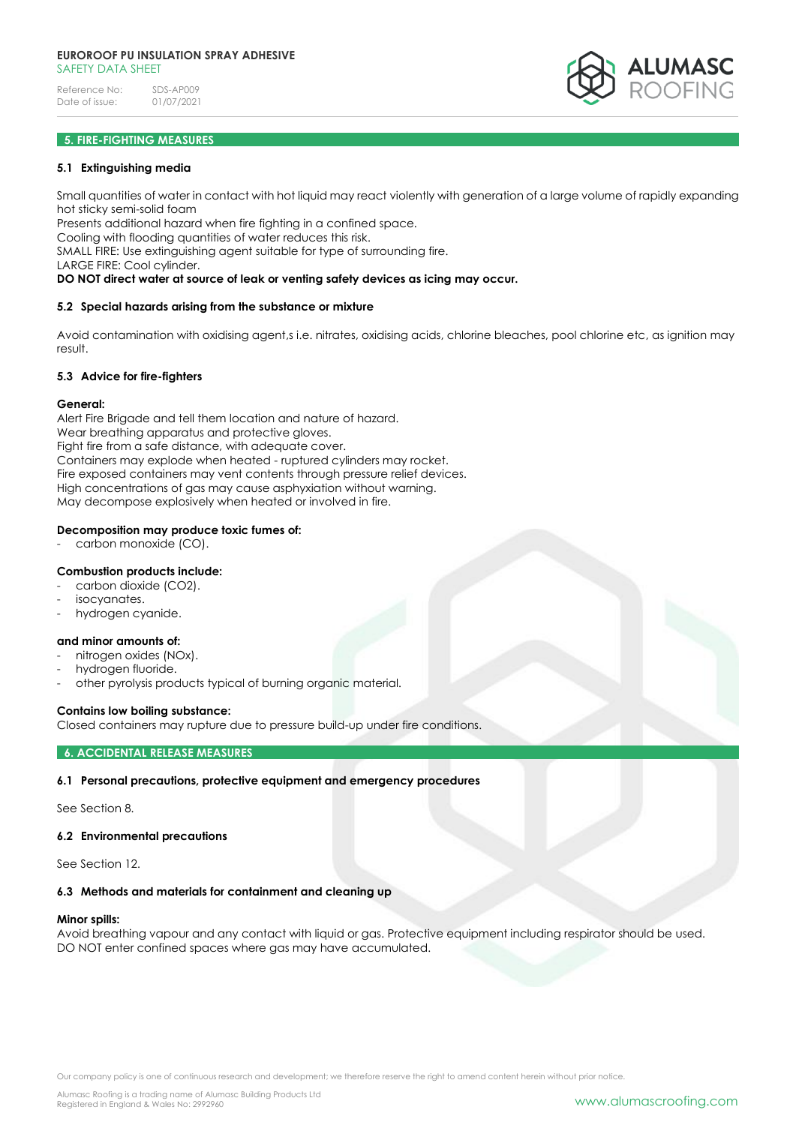## **5. FIRE-FIGHTING MEASURES**

#### **5.1 Extinguishing media**

Small quantities of water in contact with hot liquid may react violently with generation of a large volume of rapidly expanding hot sticky semi-solid foam

Presents additional hazard when fire fighting in a confined space.

Cooling with flooding quantities of water reduces this risk.

SMALL FIRE: Use extinguishing agent suitable for type of surrounding fire.

LARGE FIRE: Cool cylinder.

### **DO NOT direct water at source of leak or venting safety devices as icing may occur.**

### **5.2 Special hazards arising from the substance or mixture**

Avoid contamination with oxidising agent,s i.e. nitrates, oxidising acids, chlorine bleaches, pool chlorine etc, as ignition may result.

## **5.3 Advice for fire-fighters**

#### **General:**

Alert Fire Brigade and tell them location and nature of hazard. Wear breathing apparatus and protective gloves. Fight fire from a safe distance, with adequate cover. Containers may explode when heated - ruptured cylinders may rocket. Fire exposed containers may vent contents through pressure relief devices. High concentrations of gas may cause asphyxiation without warning. May decompose explosively when heated or involved in fire.

### **Decomposition may produce toxic fumes of:**

carbon monoxide (CO).

### **Combustion products include:**

- carbon dioxide (CO2).
- isocyanates.
- hydrogen cyanide.

#### **and minor amounts of:**

- nitrogen oxides (NOx).
- hydrogen fluoride.
- other pyrolysis products typical of burning organic material.

### **Contains low boiling substance:**

Closed containers may rupture due to pressure build-up under fire conditions.

### **6. ACCIDENTAL RELEASE MEASURES**

### **6.1 Personal precautions, protective equipment and emergency procedures**

See Section 8.

#### **6.2 Environmental precautions**

See Section 12.

#### **6.3 Methods and materials for containment and cleaning up**

#### **Minor spills:**

Avoid breathing vapour and any contact with liquid or gas. Protective equipment including respirator should be used. DO NOT enter confined spaces where gas may have accumulated.

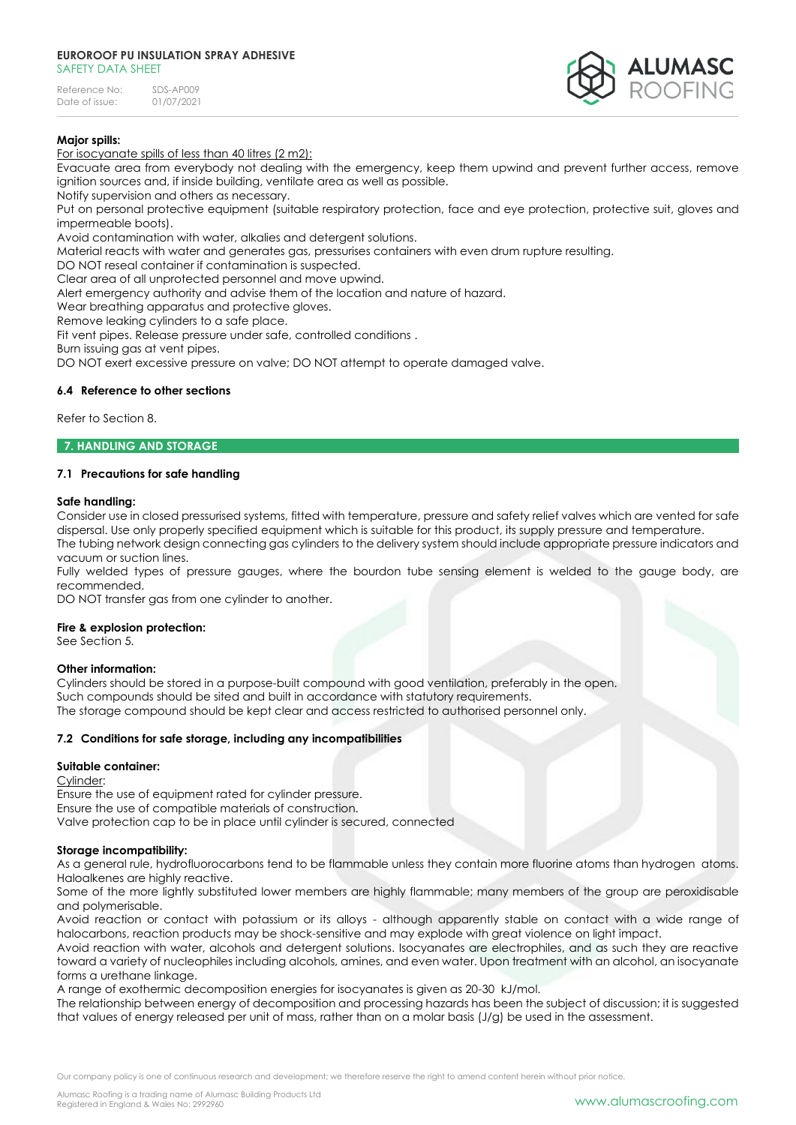Reference No: SDS-AP009<br>Date of issue: 01/07/2021 Date of issue:



## **Major spills:**

For isocyanate spills of less than 40 litres (2 m2):

Evacuate area from everybody not dealing with the emergency, keep them upwind and prevent further access, remove ignition sources and, if inside building, ventilate area as well as possible.

Notify supervision and others as necessary.

Put on personal protective equipment (suitable respiratory protection, face and eye protection, protective suit, gloves and impermeable boots).

Avoid contamination with water, alkalies and detergent solutions.

Material reacts with water and generates gas, pressurises containers with even drum rupture resulting.

DO NOT reseal container if contamination is suspected.

Clear area of all unprotected personnel and move upwind.

Alert emergency authority and advise them of the location and nature of hazard.

Wear breathing apparatus and protective gloves.

Remove leaking cylinders to a safe place.

Fit vent pipes. Release pressure under safe, controlled conditions .

Burn issuing gas at vent pipes.

DO NOT exert excessive pressure on valve; DO NOT attempt to operate damaged valve.

### **6.4 Reference to other sections**

Refer to Section 8.

#### **7. HANDLING AND STORAGE**

## **7.1 Precautions for safe handling**

### **Safe handling:**

Consider use in closed pressurised systems, fitted with temperature, pressure and safety relief valves which are vented for safe dispersal. Use only properly specified equipment which is suitable for this product, its supply pressure and temperature. The tubing network design connecting gas cylinders to the delivery system should include appropriate pressure indicators and vacuum or suction lines.

Fully welded types of pressure gauges, where the bourdon tube sensing element is welded to the gauge body, are recommended.

DO NOT transfer gas from one cylinder to another.

### **Fire & explosion protection:**

See Section 5.

### **Other information:**

Cylinders should be stored in a purpose-built compound with good ventilation, preferably in the open. Such compounds should be sited and built in accordance with statutory requirements. The storage compound should be kept clear and access restricted to authorised personnel only.

### **7.2 Conditions for safe storage, including any incompatibilities**

### **Suitable container:**

Cylinder:

Ensure the use of equipment rated for cylinder pressure. Ensure the use of compatible materials of construction. Valve protection cap to be in place until cylinder is secured, connected

### **Storage incompatibility:**

As a general rule, hydrofluorocarbons tend to be flammable unless they contain more fluorine atoms than hydrogen atoms. Haloalkenes are highly reactive.

Some of the more lightly substituted lower members are highly flammable; many members of the group are peroxidisable and polymerisable.

Avoid reaction or contact with potassium or its alloys - although apparently stable on contact with a wide range of halocarbons, reaction products may be shock-sensitive and may explode with great violence on light impact.

Avoid reaction with water, alcohols and detergent solutions. Isocyanates are electrophiles, and as such they are reactive toward a variety of nucleophiles including alcohols, amines, and even water. Upon treatment with an alcohol, an isocyanate forms a urethane linkage.

A range of exothermic decomposition energies for isocyanates is given as 20-30 kJ/mol.

The relationship between energy of decomposition and processing hazards has been the subject of discussion; it is suggested that values of energy released per unit of mass, rather than on a molar basis (J/g) be used in the assessment.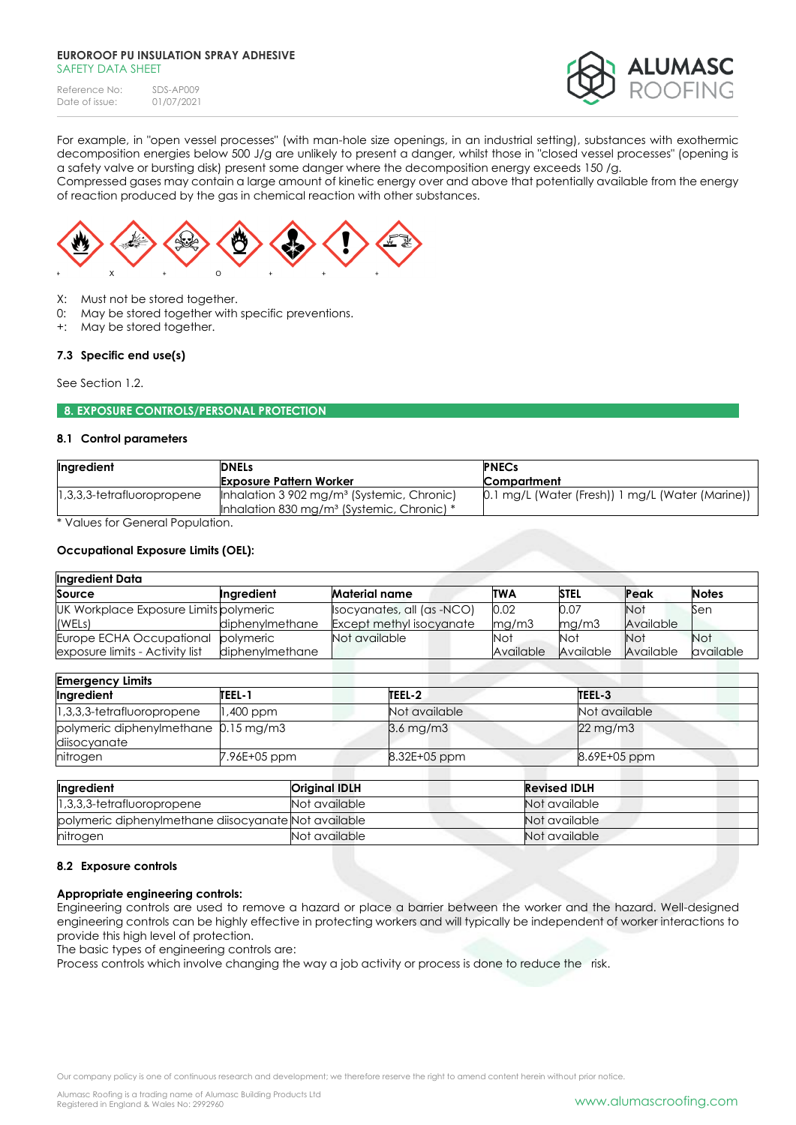| Reference No:  | SDS-AP009  |
|----------------|------------|
| Date of issue: | 01/07/2021 |



For example, in "open vessel processes" (with man-hole size openings, in an industrial setting), substances with exothermic decomposition energies below 500 J/g are unlikely to present a danger, whilst those in "closed vessel processes" (opening is a safety valve or bursting disk) present some danger where the decomposition energy exceeds 150 /g.

Compressed gases may contain a large amount of kinetic energy over and above that potentially available from the energy of reaction produced by the gas in chemical reaction with other substances.



- X: Must not be stored together.
- 0: May be stored together with specific preventions.
- +: May be stored together.

### **7.3 Specific end use(s)**

See Section 1.2.

### **8. EXPOSURE CONTROLS/PERSONAL PROTECTION**

#### **8.1 Control parameters**

| Ingredient                                                                                                         | <b>DNELs</b>                                           | <b>PNECs</b>                                     |
|--------------------------------------------------------------------------------------------------------------------|--------------------------------------------------------|--------------------------------------------------|
|                                                                                                                    | <b>Exposure Pattern Worker</b>                         | <b>Compartment</b>                               |
| $[1,3,3,3$ -tetrafluoropropene                                                                                     | Inhalation 3 902 mg/m <sup>3</sup> (Systemic, Chronic) | 0.1 mg/L (Water (Fresh)) 1 mg/L (Water (Marine)) |
|                                                                                                                    | Inhalation 830 mg/m <sup>3</sup> (Systemic, Chronic) * |                                                  |
| $*$ Modern frame $\bigcap$ and a set $\bigcap$ and $*$ $*$ $\bigcap$ $*$ $*$ $\bigcap$ $*$ $*$ $*$ $*$ $*$ $*$ $*$ |                                                        |                                                  |

\* Values for General Population.

### **Occupational Exposure Limits (OEL):**

| <b>Ingredient Data</b>                 |                 |                                 |           |             |            |              |
|----------------------------------------|-----------------|---------------------------------|-----------|-------------|------------|--------------|
| Source                                 | Ingredient      | <b>Material name</b>            | TWA       | <b>STEL</b> | Peak       | <b>Notes</b> |
| UK Workplace Exposure Limits polymeric |                 | socyanates, all (as -NCO)       | 0.02      | 0.07        | <b>Not</b> | Sen          |
| (WELs)                                 | diphenvlmethane | <b>Except methyl isocyanate</b> | mq/m3     | mq/m3       | Available  |              |
| Europe ECHA Occupational               | polymeric       | Not available                   | Not       | Not         | <b>Not</b> | <b>Not</b>   |
| exposure limits - Activity list        | diphenvlmethane |                                 | Available | Available   | Available  | available    |

| <b>Emergency Limits</b>                              |              |                |                       |
|------------------------------------------------------|--------------|----------------|-----------------------|
| Ingredient                                           | TEEL-1       | TEEL-2         | TEEL-3                |
| $1,3,3,3$ -tetrafluoropropene                        | 1,400 ppm    | Not available  | Not available         |
| polymeric diphenylmethane 0.15 mg/m3<br>diisocyanate |              | $3.6$ mg/m $3$ | $22 \,\mathrm{mg/m3}$ |
| hitrogen                                             | 7.96E+05 ppm | 8.32E+05 ppm   | 8.69E+05 ppm          |

| Ingredient                                           | Original IDLH | <b>Revised IDLH</b> |
|------------------------------------------------------|---------------|---------------------|
| $[1,3,3,3$ -tetrafluoropropene                       | Not available | Not available       |
| polymeric diphenylmethane diisocyanate Not available |               | Not available       |
| nitrogen                                             | Not available | Not available       |

#### **8.2 Exposure controls**

### **Appropriate engineering controls:**

Engineering controls are used to remove a hazard or place a barrier between the worker and the hazard. Well-designed engineering controls can be highly effective in protecting workers and will typically be independent of worker interactions to provide this high level of protection.

The basic types of engineering controls are:

Process controls which involve changing the way a job activity or process is done to reduce the risk.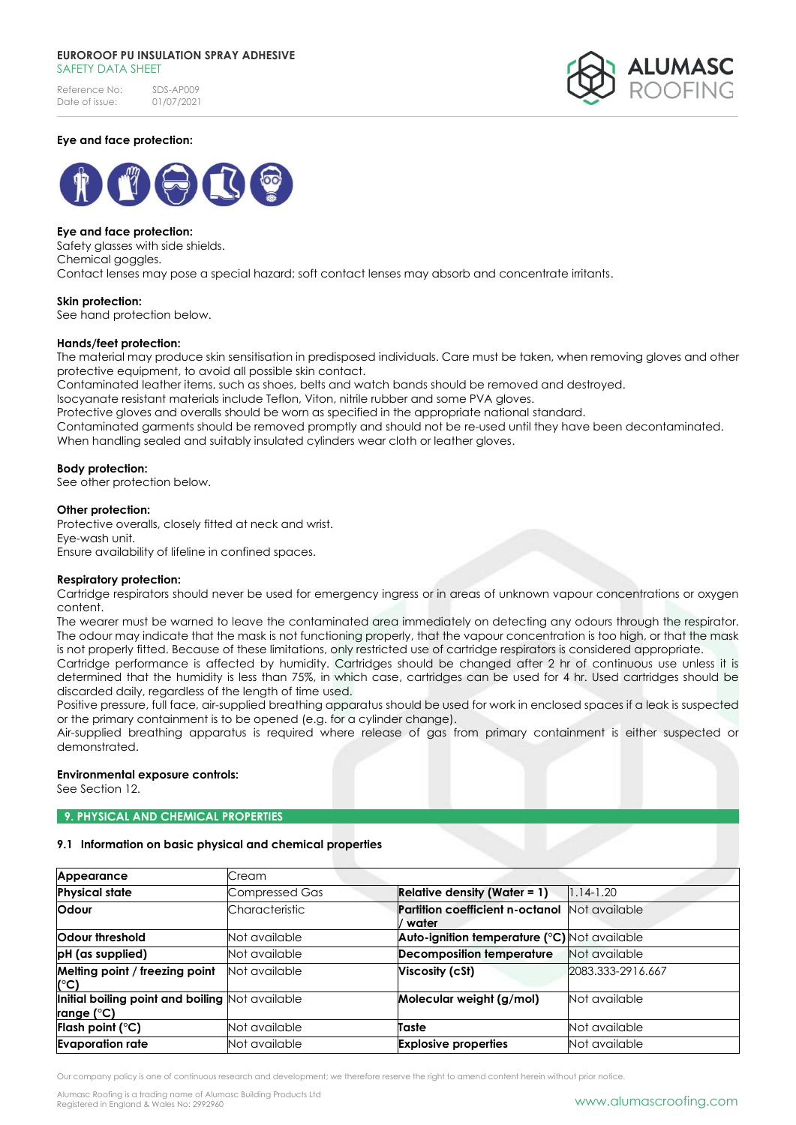Reference No: SDS-AP009<br>Date of issue: 01/07/2021 Date of issue:



## **Eye and face protection:**



## **Eye and face protection:**

Safety glasses with side shields. Chemical goggles. Contact lenses may pose a special hazard; soft contact lenses may absorb and concentrate irritants.

### **Skin protection:**

See hand protection below.

#### **Hands/feet protection:**

The material may produce skin sensitisation in predisposed individuals. Care must be taken, when removing gloves and other protective equipment, to avoid all possible skin contact.

Contaminated leather items, such as shoes, belts and watch bands should be removed and destroyed.

Isocyanate resistant materials include Teflon, Viton, nitrile rubber and some PVA gloves.

Protective gloves and overalls should be worn as specified in the appropriate national standard.

Contaminated garments should be removed promptly and should not be re-used until they have been decontaminated. When handling sealed and suitably insulated cylinders wear cloth or leather gloves.

#### **Body protection:**

See other protection below.

#### **Other protection:**

Protective overalls, closely fitted at neck and wrist. Eye-wash unit. Ensure availability of lifeline in confined spaces.

### **Respiratory protection:**

Cartridge respirators should never be used for emergency ingress or in areas of unknown vapour concentrations or oxygen content.

The wearer must be warned to leave the contaminated area immediately on detecting any odours through the respirator. The odour may indicate that the mask is not functioning properly, that the vapour concentration is too high, or that the mask is not properly fitted. Because of these limitations, only restricted use of cartridge respirators is considered appropriate.

Cartridge performance is affected by humidity. Cartridges should be changed after 2 hr of continuous use unless it is determined that the humidity is less than 75%, in which case, cartridges can be used for 4 hr. Used cartridges should be discarded daily, regardless of the length of time used.

Positive pressure, full face, air-supplied breathing apparatus should be used for work in enclosed spaces if a leak is suspected or the primary containment is to be opened (e.g. for a cylinder change).

Air-supplied breathing apparatus is required where release of gas from primary containment is either suspected or demonstrated.

### **Environmental exposure controls:**

See Section 12.

### **9. PHYSICAL AND CHEMICAL PROPERTIES**

### **9.1 Information on basic physical and chemical properties**

| Appearance                                                            | Cream                 |                                                        |                   |
|-----------------------------------------------------------------------|-----------------------|--------------------------------------------------------|-------------------|
| <b>Physical state</b>                                                 | <b>Compressed Gas</b> | <b>Relative density (Water = 1)</b>                    | $1.14 - 1.20$     |
| <b>Odour</b>                                                          | Characteristic        | Partition coefficient n-octanol Not available<br>water |                   |
| Odour threshold                                                       | Not available         | Auto-ignition temperature (°C) Not available           |                   |
| pH (as supplied)                                                      | Not available         | <b>Decomposition temperature</b>                       | Not available     |
| Melting point / freezing point<br>$(^{\circ}C)$                       | Not available         | Viscosity (cSt)                                        | 2083.333-2916.667 |
| Initial boiling point and boiling Not available<br><u>range (°</u> C) |                       | Molecular weight (g/mol)                               | Not available     |
| Flash point $(^\circ \text{C})$                                       | Not available         | Taste                                                  | Not available     |
| <b>Evaporation rate</b>                                               | Not available         | <b>Explosive properties</b>                            | Not available     |

Our company policy is one of continuous research and development; we therefore reserve the right to amend content herein without prior notice.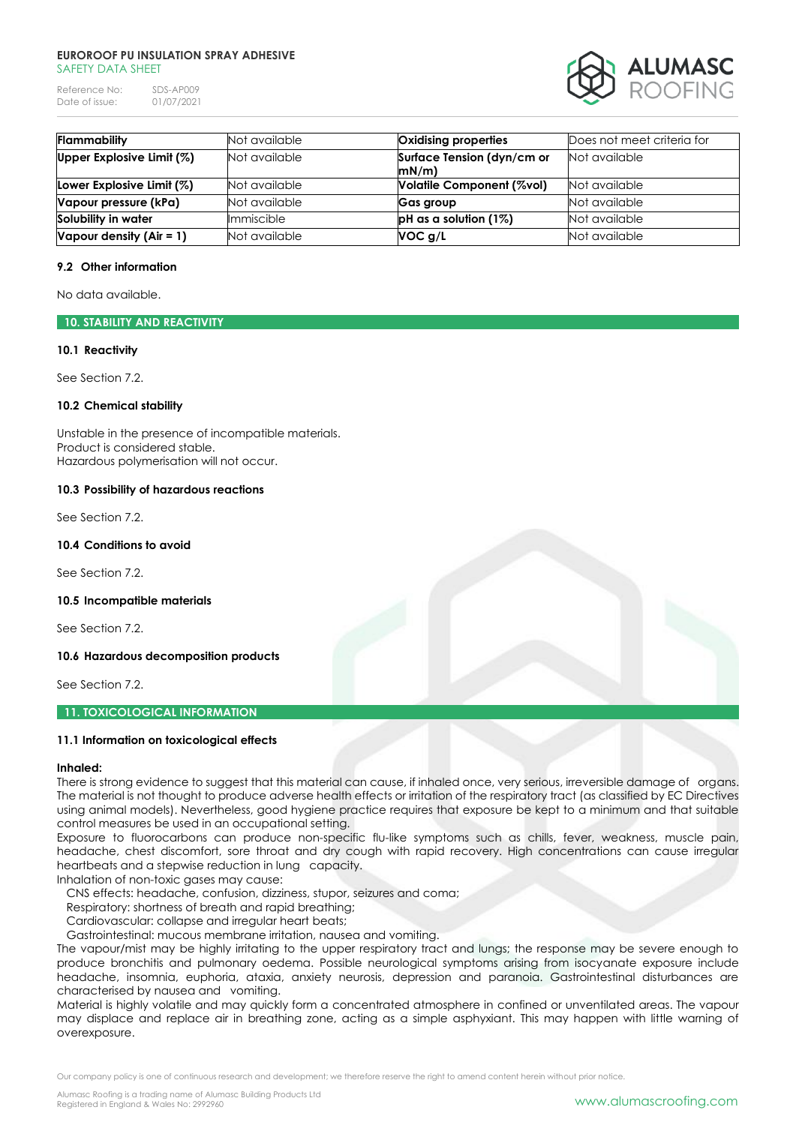Reference No: SDS-AP009<br>Date of issue: 01/07/2021 Date of issue:



| <b>Flammability</b>        | Not available | Oxidising properties       | Does not meet criteria for |
|----------------------------|---------------|----------------------------|----------------------------|
| Upper Explosive Limit (%)  | Not available | Surface Tension (dyn/cm or | Not available              |
|                            |               | mN/m                       |                            |
| Lower Explosive Limit (%)  | Not available | Volatile Component (%vol)  | Not available              |
| Vapour pressure (kPa)      | Not available | Gas group                  | Not available              |
| Solubility in water        | Immiscible    | $pH$ as a solution (1%)    | Not available              |
| Vapour density $(Air = 1)$ | Not available | VOC g/L                    | Not available              |

### **9.2 Other information**

No data available.

## **10. STABILITY AND REACTIVITY**

#### **10.1 Reactivity**

See Section 7.2.

## **10.2 Chemical stability**

Unstable in the presence of incompatible materials. Product is considered stable. Hazardous polymerisation will not occur.

### **10.3 Possibility of hazardous reactions**

See Section 7.2.

#### **10.4 Conditions to avoid**

See Section 7.2.

#### **10.5 Incompatible materials**

See Section 7.2.

#### **10.6 Hazardous decomposition products**

See Section 7.2.

## **11. TOXICOLOGICAL INFORMATION**

### **11.1 Information on toxicological effects**

#### **Inhaled:**

There is strong evidence to suggest that this material can cause, if inhaled once, very serious, irreversible damage of organs. The material is not thought to produce adverse health effects or irritation of the respiratory tract (as classified by EC Directives using animal models). Nevertheless, good hygiene practice requires that exposure be kept to a minimum and that suitable control measures be used in an occupational setting.

Exposure to fluorocarbons can produce non-specific flu-like symptoms such as chills, fever, weakness, muscle pain, headache, chest discomfort, sore throat and dry cough with rapid recovery. High concentrations can cause irregular heartbeats and a stepwise reduction in lung capacity.

Inhalation of non-toxic gases may cause:

CNS effects: headache, confusion, dizziness, stupor, seizures and coma;

Respiratory: shortness of breath and rapid breathing;

Cardiovascular: collapse and irregular heart beats;

Gastrointestinal: mucous membrane irritation, nausea and vomiting.

The vapour/mist may be highly irritating to the upper respiratory tract and lungs; the response may be severe enough to produce bronchitis and pulmonary oedema. Possible neurological symptoms arising from isocyanate exposure include headache, insomnia, euphoria, ataxia, anxiety neurosis, depression and paranoia. Gastrointestinal disturbances are characterised by nausea and vomiting.

Material is highly volatile and may quickly form a concentrated atmosphere in confined or unventilated areas. The vapour may displace and replace air in breathing zone, acting as a simple asphyxiant. This may happen with little warning of overexposure.

Our company policy is one of continuous research and development; we therefore reserve the right to amend content herein without prior notice.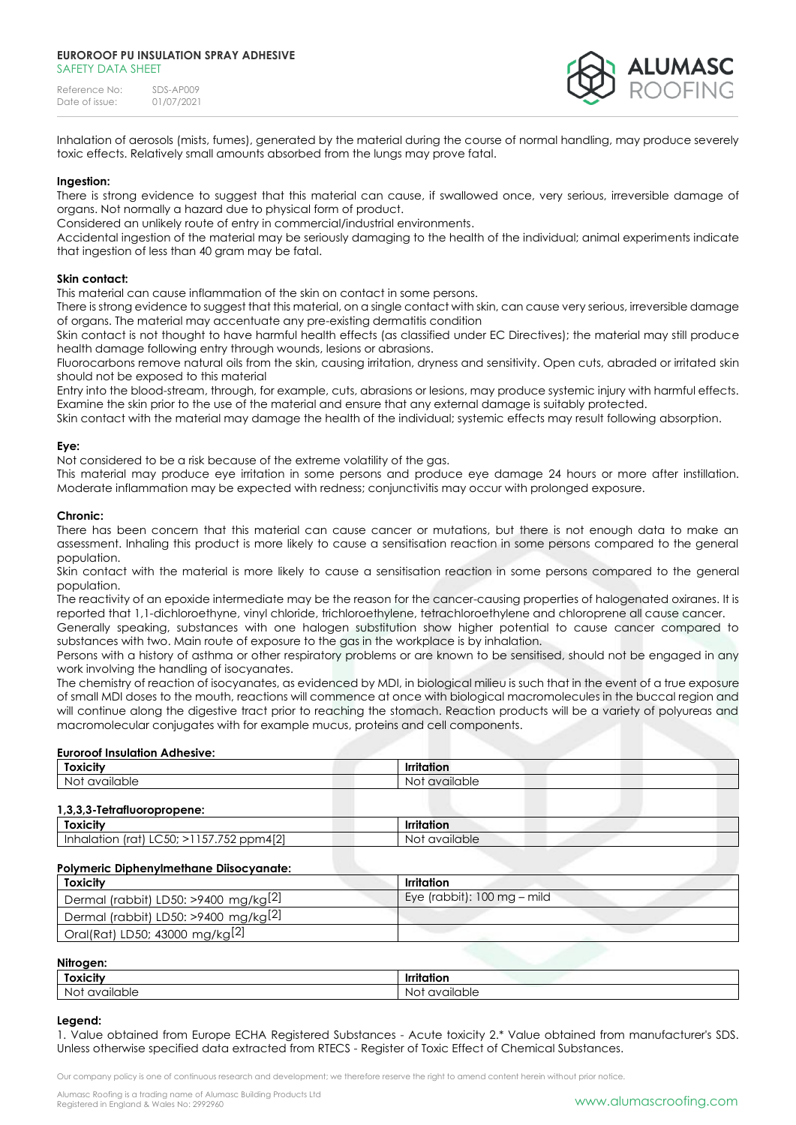Reference No: SDS-AP009<br>Date of issue: 01/07/2021 Date of issue:



### **Ingestion:**

There is strong evidence to suggest that this material can cause, if swallowed once, very serious, irreversible damage of organs. Not normally a hazard due to physical form of product.

Considered an unlikely route of entry in commercial/industrial environments.

Accidental ingestion of the material may be seriously damaging to the health of the individual; animal experiments indicate that ingestion of less than 40 gram may be fatal.

#### **Skin contact:**

This material can cause inflammation of the skin on contact in some persons.

There is strong evidence to suggest that this material, on a single contact with skin, can cause very serious, irreversible damage of organs. The material may accentuate any pre-existing dermatitis condition

Skin contact is not thought to have harmful health effects (as classified under EC Directives); the material may still produce health damage following entry through wounds, lesions or abrasions.

Fluorocarbons remove natural oils from the skin, causing irritation, dryness and sensitivity. Open cuts, abraded or irritated skin should not be exposed to this material

Entry into the blood-stream, through, for example, cuts, abrasions or lesions, may produce systemic injury with harmful effects. Examine the skin prior to the use of the material and ensure that any external damage is suitably protected.

Skin contact with the material may damage the health of the individual; systemic effects may result following absorption.

### **Eye:**

Not considered to be a risk because of the extreme volatility of the gas.

This material may produce eye irritation in some persons and produce eye damage 24 hours or more after instillation. Moderate inflammation may be expected with redness; conjunctivitis may occur with prolonged exposure.

#### **Chronic:**

There has been concern that this material can cause cancer or mutations, but there is not enough data to make an assessment. Inhaling this product is more likely to cause a sensitisation reaction in some persons compared to the general population.

Skin contact with the material is more likely to cause a sensitisation reaction in some persons compared to the general population.

The reactivity of an epoxide intermediate may be the reason for the cancer-causing properties of halogenated oxiranes. It is reported that 1,1-dichloroethyne, vinyl chloride, trichloroethylene, tetrachloroethylene and chloroprene all cause cancer.

Generally speaking, substances with one halogen substitution show higher potential to cause cancer compared to substances with two. Main route of exposure to the gas in the workplace is by inhalation.

Persons with a history of asthma or other respiratory problems or are known to be sensitised, should not be engaged in any work involving the handling of isocyanates.

The chemistry of reaction of isocyanates, as evidenced by MDI, in biological milieu is such that in the event of a true exposure of small MDI doses to the mouth, reactions will commence at once with biological macromolecules in the buccal region and will continue along the digestive tract prior to reaching the stomach. Reaction products will be a variety of polyureas and macromolecular conjugates with for example mucus, proteins and cell components.

#### **Euroroof Insulation Adhesive:**

| <b>Toxicity</b>             | <b>Irritation</b> |  |
|-----------------------------|-------------------|--|
| Not available               | Not available     |  |
| 1,3,3,3-Tetrafluoropropene: |                   |  |
|                             | <b>Irritation</b> |  |
| <b>Toxicity</b>             |                   |  |

| <b>Toxicity</b>                         | Irritation                                   |
|-----------------------------------------|----------------------------------------------|
| Dermal (rabbit) LD50: >9400 mg/kg $[2]$ | Eye (rabbit): $100 \text{ mg} - \text{mild}$ |
| Dermal (rabbit) LD50: >9400 mg/kg $[2]$ |                                              |
| Oral(Rat) LD50; 43000 mg/kg[2]          |                                              |

| o<br>-<br>NIH<br>Ш.<br>٠ |  |
|--------------------------|--|
|                          |  |

| Toxicity        | <br>. .<br>Irritation                     |
|-----------------|-------------------------------------------|
| No<br>available | NG<br>$\sim \sim$<br>ble<br>1 \ /<br>,,,, |

#### **Legend:**

1. Value obtained from Europe ECHA Registered Substances - Acute toxicity 2.\* Value obtained from manufacturer's SDS. Unless otherwise specified data extracted from RTECS - Register of Toxic Effect of Chemical Substances.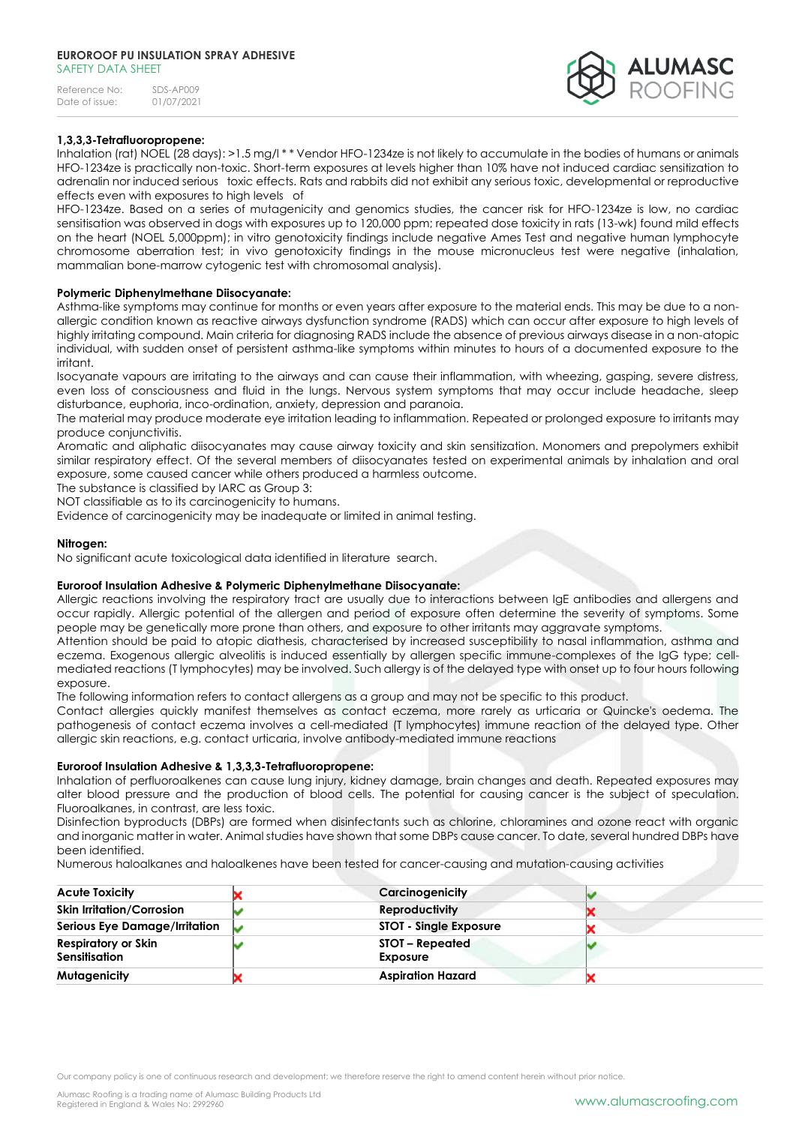| Reference No:  | SDS-AP009  |
|----------------|------------|
| Date of issue: | 01/07/2021 |



## **1,3,3,3-Tetrafluoropropene:**

Inhalation (rat) NOEL (28 days): >1.5 mg/l \* \* Vendor HFO-1234ze is not likely to accumulate in the bodies of humans or animals HFO-1234ze is practically non-toxic. Short-term exposures at levels higher than 10% have not induced cardiac sensitization to adrenalin nor induced serious toxic effects. Rats and rabbits did not exhibit any serious toxic, developmental or reproductive effects even with exposures to high levels of

HFO-1234ze. Based on a series of mutagenicity and genomics studies, the cancer risk for HFO-1234ze is low, no cardiac sensitisation was observed in dogs with exposures up to 120,000 ppm; repeated dose toxicity in rats (13-wk) found mild effects on the heart (NOEL 5,000ppm); in vitro genotoxicity findings include negative Ames Test and negative human lymphocyte chromosome aberration test; in vivo genotoxicity findings in the mouse micronucleus test were negative (inhalation, mammalian bone-marrow cytogenic test with chromosomal analysis).

### **Polymeric Diphenylmethane Diisocyanate:**

Asthma-like symptoms may continue for months or even years after exposure to the material ends. This may be due to a nonallergic condition known as reactive airways dysfunction syndrome (RADS) which can occur after exposure to high levels of highly irritating compound. Main criteria for diagnosing RADS include the absence of previous airways disease in a non-atopic individual, with sudden onset of persistent asthma-like symptoms within minutes to hours of a documented exposure to the irritant.

Isocyanate vapours are irritating to the airways and can cause their inflammation, with wheezing, gasping, severe distress, even loss of consciousness and fluid in the lungs. Nervous system symptoms that may occur include headache, sleep disturbance, euphoria, inco-ordination, anxiety, depression and paranoia.

The material may produce moderate eye irritation leading to inflammation. Repeated or prolonged exposure to irritants may produce conjunctivitis.

Aromatic and aliphatic diisocyanates may cause airway toxicity and skin sensitization. Monomers and prepolymers exhibit similar respiratory effect. Of the several members of diisocyanates tested on experimental animals by inhalation and oral exposure, some caused cancer while others produced a harmless outcome.

The substance is classified by IARC as Group 3:

NOT classifiable as to its carcinogenicity to humans.

Evidence of carcinogenicity may be inadequate or limited in animal testing.

#### **Nitrogen:**

No significant acute toxicological data identified in literature search.

### **Euroroof Insulation Adhesive & Polymeric Diphenylmethane Diisocyanate:**

Allergic reactions involving the respiratory tract are usually due to interactions between IgE antibodies and allergens and occur rapidly. Allergic potential of the allergen and period of exposure often determine the severity of symptoms. Some people may be genetically more prone than others, and exposure to other irritants may aggravate symptoms.

Attention should be paid to atopic diathesis, characterised by increased susceptibility to nasal inflammation, asthma and eczema. Exogenous allergic alveolitis is induced essentially by allergen specific immune-complexes of the IgG type; cellmediated reactions (T lymphocytes) may be involved. Such allergy is of the delayed type with onset up to four hours following exposure.

The following information refers to contact allergens as a group and may not be specific to this product.

Contact allergies quickly manifest themselves as contact eczema, more rarely as urticaria or Quincke's oedema. The pathogenesis of contact eczema involves a cell-mediated (T lymphocytes) immune reaction of the delayed type. Other allergic skin reactions, e.g. contact urticaria, involve antibody-mediated immune reactions

### **Euroroof Insulation Adhesive & 1,3,3,3-Tetrafluoropropene:**

Inhalation of perfluoroalkenes can cause lung injury, kidney damage, brain changes and death. Repeated exposures may alter blood pressure and the production of blood cells. The potential for causing cancer is the subject of speculation. Fluoroalkanes, in contrast, are less toxic.

Disinfection byproducts (DBPs) are formed when disinfectants such as chlorine, chloramines and ozone react with organic and inorganic matter in water. Animal studies have shown that some DBPs cause cancer. To date, several hundred DBPs have been identified.

Numerous haloalkanes and haloalkenes have been tested for cancer-causing and mutation-causing activities

| <b>Acute Toxicity</b>                | Carcinogenicity               |  |
|--------------------------------------|-------------------------------|--|
| <b>Skin Irritation/Corrosion</b>     | <b>Reproductivity</b>         |  |
| <b>Serious Eye Damage/Irritation</b> | <b>STOT - Single Exposure</b> |  |
| Respiratory or Skin<br>Sensitisation | STOT – Repeated<br>Exposure   |  |
| Mutagenicity                         | <b>Aspiration Hazard</b>      |  |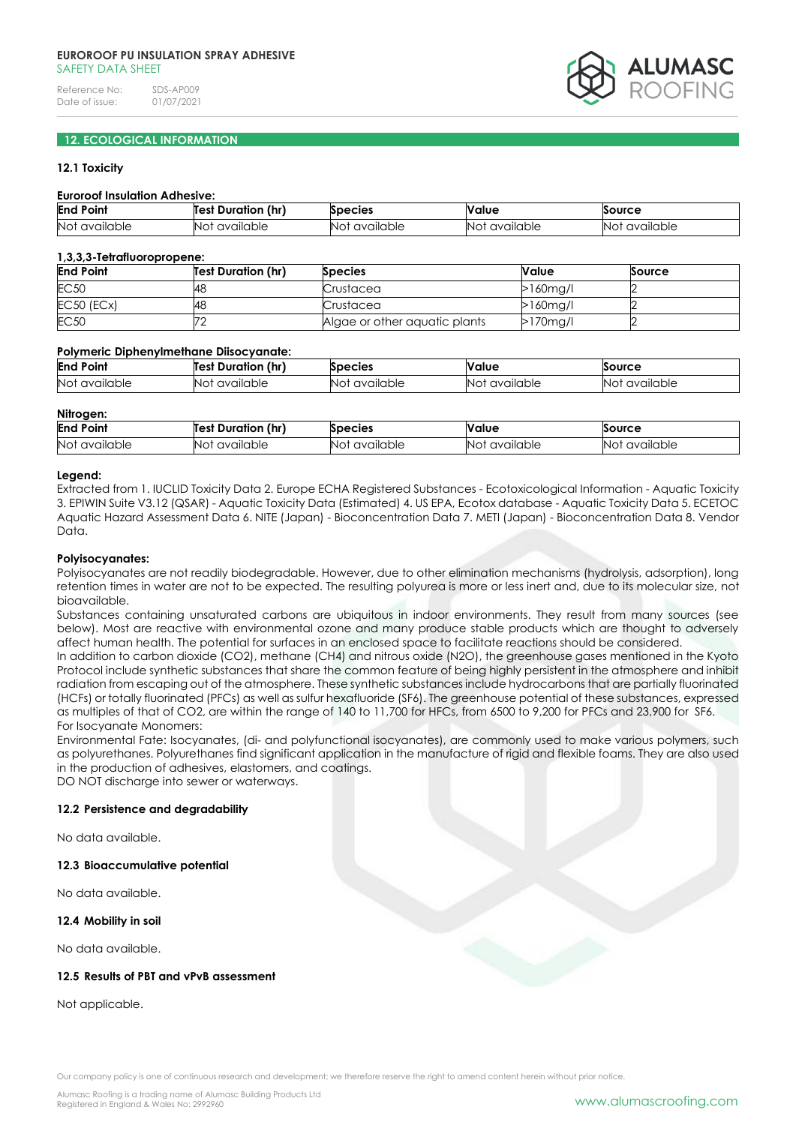

## **12. ECOLOGICAL INFORMATION**

### **12.1 Toxicity**

#### **Euroroof Insulation Adhesive:**

| End<br>Poin             | (hr)<br>Duration<br>Tes' | <b>Species</b>                         | <b>Value</b>               | <b>Source</b>   |
|-------------------------|--------------------------|----------------------------------------|----------------------------|-----------------|
| <b>Not</b><br>available | available<br>NO          | $\ddot{\phantom{a}}$<br>N<br>available | $\cdots$<br>available<br>N | available<br>NΟ |

#### **1,3,3,3-Tetrafluoropropene:**

| <b>End Point</b> | <b>Test Duration (hr)</b> | <b>Species</b>                | Value       | Source |
|------------------|---------------------------|-------------------------------|-------------|--------|
| <b>EC50</b>      | 48                        | Crustacea                     | $>160$ mg/l |        |
| $EC50$ $(ECx)$   | 48                        | Crustacea                     | $>160$ mg/l |        |
| <b>EC50</b>      |                           | Algae or other aquatic plants | $>170$ mg/l |        |

### **Polymeric Diphenylmethane Diisocyanate:**

| End<br>Point    | (hr)<br><sup>.</sup> Duration<br>Test | <b>Species</b> | Value     | <b>Source</b> |
|-----------------|---------------------------------------|----------------|-----------|---------------|
| No <sub>1</sub> | available                             | Nο             | available | available     |
| available       | NO'                                   | available      | NO1       | NO1           |

#### **Nitrogen:**

| End<br>Point<br>$\sim$ $\sim$ | <br><b>Test Duratior</b><br>(hr | <b>ipecies</b>   | Value                      | Source          |
|-------------------------------|---------------------------------|------------------|----------------------------|-----------------|
| <b>No</b><br>available        | lable<br>71/1<br>NC.            | No:<br>available | <br>available<br><b>NO</b> | Nr<br>available |

#### **Legend:**

Extracted from 1. IUCLID Toxicity Data 2. Europe ECHA Registered Substances - Ecotoxicological Information - Aquatic Toxicity 3. EPIWIN Suite V3.12 (QSAR) - Aquatic Toxicity Data (Estimated) 4. US EPA, Ecotox database - Aquatic Toxicity Data 5. ECETOC Aquatic Hazard Assessment Data 6. NITE (Japan) - Bioconcentration Data 7. METI (Japan) - Bioconcentration Data 8. Vendor Data.

#### **Polyisocyanates:**

Polyisocyanates are not readily biodegradable. However, due to other elimination mechanisms (hydrolysis, adsorption), long retention times in water are not to be expected. The resulting polyurea is more or less inert and, due to its molecular size, not bioavailable.

Substances containing unsaturated carbons are ubiquitous in indoor environments. They result from many sources (see below). Most are reactive with environmental ozone and many produce stable products which are thought to adversely affect human health. The potential for surfaces in an enclosed space to facilitate reactions should be considered.

In addition to carbon dioxide (CO2), methane (CH4) and nitrous oxide (N2O), the greenhouse gases mentioned in the Kyoto Protocol include synthetic substances that share the common feature of being highly persistent in the atmosphere and inhibit radiation from escaping out of the atmosphere. These synthetic substances include hydrocarbons that are partially fluorinated (HCFs) or totally fluorinated (PFCs) as well as sulfur hexafluoride (SF6). The greenhouse potential of these substances, expressed as multiples of that of CO2, are within the range of 140 to 11,700 for HFCs, from 6500 to 9,200 for PFCs and 23,900 for SF6. For Isocyanate Monomers:

Environmental Fate: Isocyanates, (di- and polyfunctional isocyanates), are commonly used to make various polymers, such as polyurethanes. Polyurethanes find significant application in the manufacture of rigid and flexible foams. They are also used in the production of adhesives, elastomers, and coatings.

DO NOT discharge into sewer or waterways.

### **12.2 Persistence and degradability**

No data available.

#### **12.3 Bioaccumulative potential**

No data available.

### **12.4 Mobility in soil**

No data available.

## **12.5 Results of PBT and vPvB assessment**

Not applicable.

Our company policy is one of continuous research and development; we therefore reserve the right to amend content herein without prior notice.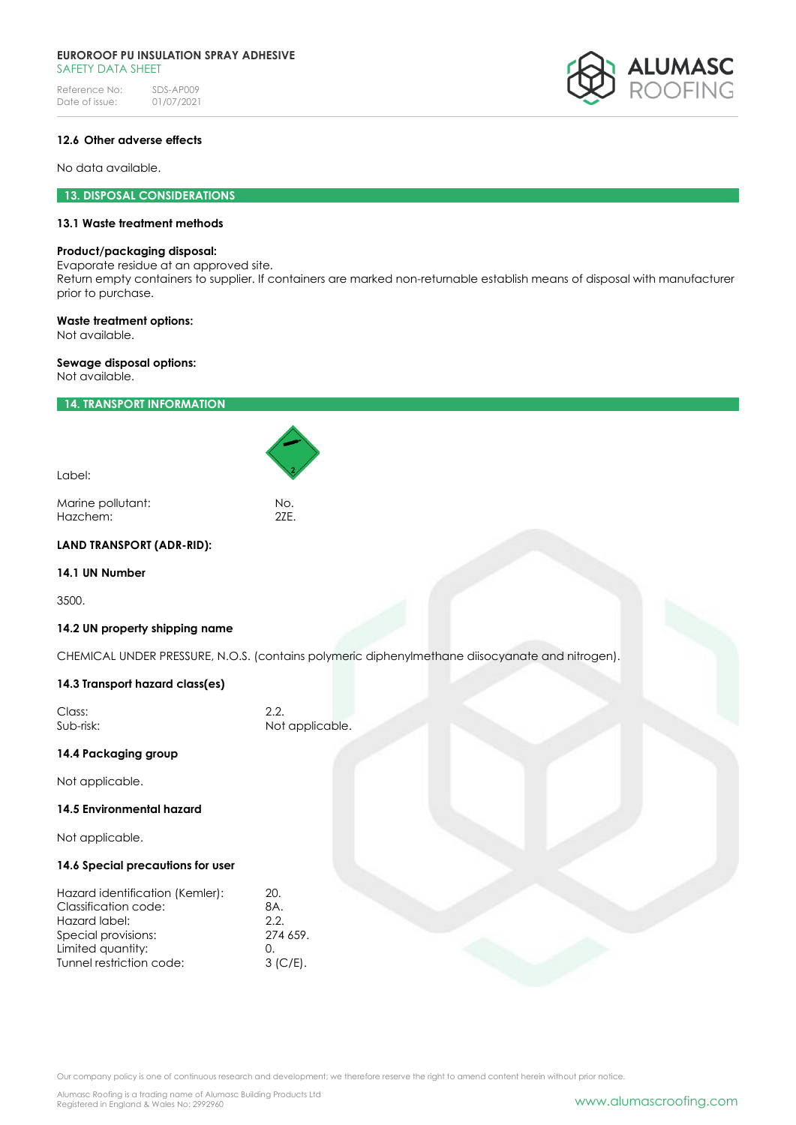Reference No: SDS-AP009<br>Date of issue: 01/07/2021 Date of issue:



## **12.6 Other adverse effects**

No data available.

## **13. DISPOSAL CONSIDERATIONS**

## **13.1 Waste treatment methods**

#### **Product/packaging disposal:**

Evaporate residue at an approved site.

Return empty containers to supplier. If containers are marked non-returnable establish means of disposal with manufacturer prior to purchase.

## **Waste treatment options:**

Not available.

### **Sewage disposal options:**

Not available.

## **14. TRANSPORT INFORMATION**

| Label:            |     |
|-------------------|-----|
| Marine pollutant: | No. |
| Hazchem:          | 27F |

## **LAND TRANSPORT (ADR-RID):**

### **14.1 UN Number**

3500.

### **14.2 UN property shipping name**

CHEMICAL UNDER PRESSURE, N.O.S. (contains polymeric diphenylmethane diisocyanate and nitrogen).

## **14.3 Transport hazard class(es)**

| Class:    | 2.2.            |
|-----------|-----------------|
| Sub-risk: | Not applicable. |

## **14.4 Packaging group**

Not applicable.

### **14.5 Environmental hazard**

Not applicable.

#### **14.6 Special precautions for user**

| Hazard identification (Kemler): | 20.      |
|---------------------------------|----------|
| Classification code:            | 8A.      |
| Hazard label:                   | 2.2.     |
| Special provisions:             | 274 659. |
| Limited quantity:               | 0        |
| Tunnel restriction code:        | 3 (C/E). |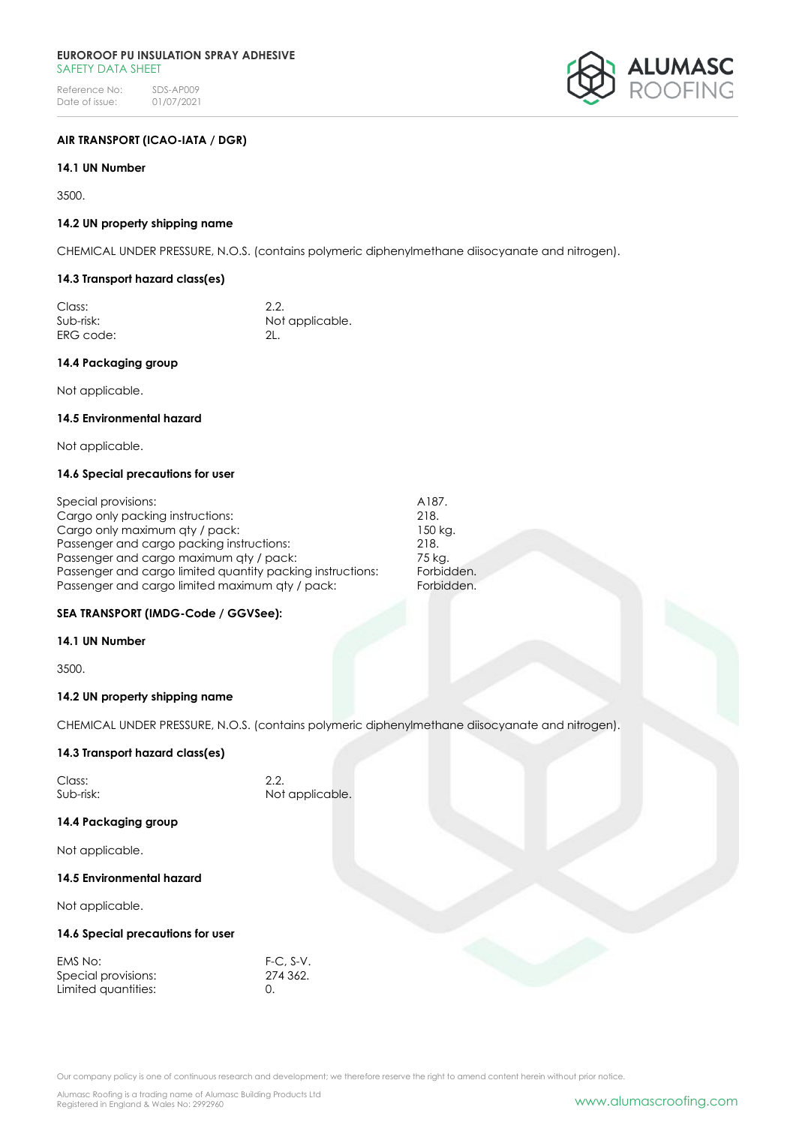

## **AIR TRANSPORT (ICAO-IATA / DGR)**

## **14.1 UN Number**

3500.

### **14.2 UN property shipping name**

CHEMICAL UNDER PRESSURE, N.O.S. (contains polymeric diphenylmethane diisocyanate and nitrogen).

## **14.3 Transport hazard class(es)**

| Class:    | 2.2.            |
|-----------|-----------------|
| Sub-risk: | Not applicable. |
| ERG code: |                 |

### **14.4 Packaging group**

Not applicable.

### **14.5 Environmental hazard**

Not applicable.

## **14.6 Special precautions for user**

| Special provisions:                                        | A187.  |
|------------------------------------------------------------|--------|
| Cargo only packing instructions:                           | 218.   |
| Cargo only maximum aty / pack:                             | 150 kc |
| Passenger and cargo packing instructions:                  | 218.   |
| Passenger and cargo maximum qty / pack:                    | 75 kg. |
| Passenger and cargo limited quantity packing instructions: | Forbic |
| Passenger and cargo limited maximum aty / pack:            | Forbic |

## **SEA TRANSPORT (IMDG-Code / GGVSee):**

### **14.1 UN Number**

3500.

### **14.2 UN property shipping name**

CHEMICAL UNDER PRESSURE, N.O.S. (contains polymeric diphenylmethane diisocyanate and nitrogen).

150 kg.

Forbidden. Forbidden.

## **14.3 Transport hazard class(es)**

| Class:    | 2.2.            |
|-----------|-----------------|
| Sub-risk: | Not applicable. |

### **14.4 Packaging group**

Not applicable.

### **14.5 Environmental hazard**

Not applicable.

### **14.6 Special precautions for user**

| EMS No:             | $F-C. S-V.$ |
|---------------------|-------------|
| Special provisions: | 274 362.    |
| Limited quantities: |             |

Our company policy is one of continuous research and development; we therefore reserve the right to amend content herein without prior notice.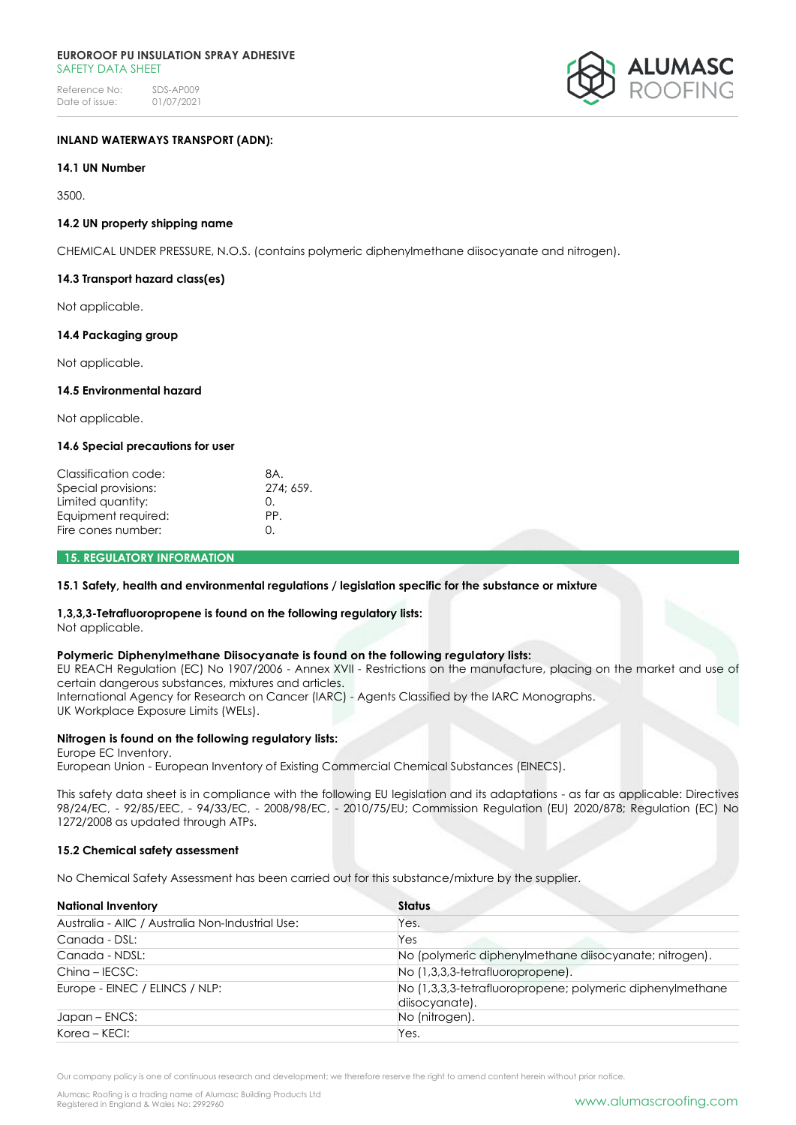

## **INLAND WATERWAYS TRANSPORT (ADN):**

### **14.1 UN Number**

3500.

### **14.2 UN property shipping name**

CHEMICAL UNDER PRESSURE, N.O.S. (contains polymeric diphenylmethane diisocyanate and nitrogen).

### **14.3 Transport hazard class(es)**

Not applicable.

### **14.4 Packaging group**

Not applicable.

## **14.5 Environmental hazard**

Not applicable.

#### **14.6 Special precautions for user**

| Classification code: | 8A.      |
|----------------------|----------|
| Special provisions:  | 274:659. |
| Limited quantity:    | $\Omega$ |
| Equipment required:  | PP.      |
| Fire cones number:   | O.       |
|                      |          |

## **15. REGULATORY INFORMATION**

### **15.1 Safety, health and environmental regulations / legislation specific for the substance or mixture**

### **1,3,3,3-Tetrafluoropropene is found on the following regulatory lists:**

Not applicable.

### **Polymeric Diphenylmethane Diisocyanate is found on the following regulatory lists:**

EU REACH Regulation (EC) No 1907/2006 - Annex XVII - Restrictions on the manufacture, placing on the market and use of certain dangerous substances, mixtures and articles.

International Agency for Research on Cancer (IARC) - Agents Classified by the IARC Monographs.

UK Workplace Exposure Limits (WELs).

## **Nitrogen is found on the following regulatory lists:**

Europe EC Inventory. European Union - European Inventory of Existing Commercial Chemical Substances (EINECS).

This safety data sheet is in compliance with the following EU legislation and its adaptations - as far as applicable: Directives 98/24/EC, - 92/85/EEC, - 94/33/EC, - 2008/98/EC, - 2010/75/EU; Commission Regulation (EU) 2020/878; Regulation (EC) No 1272/2008 as updated through ATPs.

### **15.2 Chemical safety assessment**

No Chemical Safety Assessment has been carried out for this substance/mixture by the supplier.

| <b>National Inventory</b>                        | <b>Status</b>                                                              |  |
|--------------------------------------------------|----------------------------------------------------------------------------|--|
| Australia - AIIC / Australia Non-Industrial Use: | Yes.                                                                       |  |
| Canada - DSL:                                    | Yes                                                                        |  |
| Canada - NDSL:                                   | No (polymeric diphenylmethane diisocyanate; nitrogen).                     |  |
| $China - IECSC:$                                 | No (1,3,3,3-tetrafluoropropene).                                           |  |
| Europe - EINEC / ELINCS / NLP:                   | No (1,3,3,3-tetrafluoropropene; polymeric diphenylmethane<br>disocyanate). |  |
| Japan – ENCS:                                    | No (nitrogen).                                                             |  |
| Korea – KECI:                                    | Yes.                                                                       |  |

Our company policy is one of continuous research and development; we therefore reserve the right to amend content herein without prior notice.